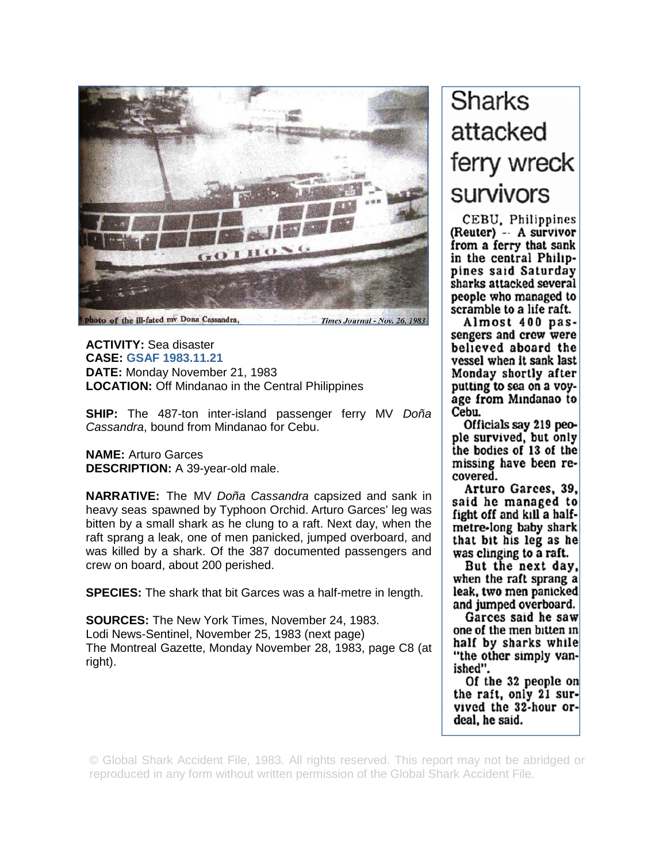

hoto of the ill-fated my Dona Cassandra, **Times Journal - Nov. 26, 1983** 

**ACTIVITY:** Sea disaster **CASE: GSAF 1983.11.21 DATE:** Monday November 21, 1983 **LOCATION:** Off Mindanao in the Central Philippines

**SHIP:** The 487-ton inter-island passenger ferry MV *Doña Cassandra*, bound from Mindanao for Cebu.

**NAME:** Arturo Garces **DESCRIPTION:** A 39-year-old male.

**NARRATIVE:** The MV *Doña Cassandra* capsized and sank in heavy seas spawned by Typhoon Orchid. Arturo Garces' leg was bitten by a small shark as he clung to a raft. Next day, when the raft sprang a leak, one of men panicked, jumped overboard, and was killed by a shark. Of the 387 documented passengers and crew on board, about 200 perished.

**SPECIES:** The shark that bit Garces was a half-metre in length.

**SOURCES:** The New York Times, November 24, 1983. Lodi News-Sentinel, November 25, 1983 (next page) The Montreal Gazette, Monday November 28, 1983, page C8 (at right).

## **Sharks** attacked ferry wreck survivors

CEBU, Philippines (Reuter) - A survivor from a ferry that sank in the central Philippines said Saturday sharks attacked several people who managed to scramble to a life raft.

Almost 400 passengers and crew were believed aboard the vessel when it sank last Monday shortly after putting to sea on a voyage from Mindanao to Cebu.

Officials say 219 people survived, but only the bodies of 13 of the missing have been recovered.

Arturo Garces, 39, said he managed to fight off and kill a halfmetre-long baby shark that bit his leg as he was clinging to a raft.

But the next day, when the raft sprang a leak, two men panicked and jumped overboard.

Garces said he saw one of the men bitten in half by sharks while "the other simply vanished".

Of the 32 people on the raft, only 21 survived the 32-hour ordeal, he said.

© Global Shark Accident File, 1983. All rights reserved. This report may not be abridged or reproduced in any form without written permission of the Global Shark Accident File.